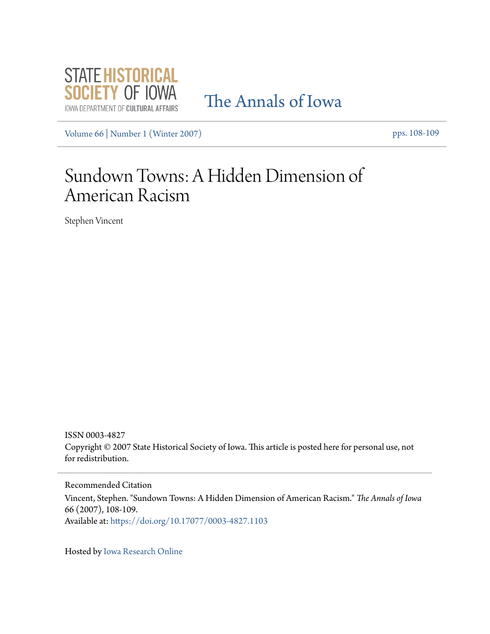

## [The Annals of Iowa](https://ir.uiowa.edu/annals-of-iowa?utm_source=ir.uiowa.edu%2Fannals-of-iowa%2Fvol66%2Fiss1%2F17&utm_medium=PDF&utm_campaign=PDFCoverPages)

[Volume 66](https://ir.uiowa.edu/annals-of-iowa/vol66?utm_source=ir.uiowa.edu%2Fannals-of-iowa%2Fvol66%2Fiss1%2F17&utm_medium=PDF&utm_campaign=PDFCoverPages) | [Number 1 \(Winter 2007\)](https://ir.uiowa.edu/annals-of-iowa/vol66/iss1?utm_source=ir.uiowa.edu%2Fannals-of-iowa%2Fvol66%2Fiss1%2F17&utm_medium=PDF&utm_campaign=PDFCoverPages) pps. 108-109

## Sundown Towns: A Hidden Dimension of American Racism

Stephen Vincent

ISSN 0003-4827 Copyright © 2007 State Historical Society of Iowa. This article is posted here for personal use, not for redistribution.

Recommended Citation Vincent, Stephen. "Sundown Towns: A Hidden Dimension of American Racism." *The Annals of Iowa* 66 (2007), 108-109. Available at: <https://doi.org/10.17077/0003-4827.1103>

Hosted by [Iowa Research Online](http://ir.uiowa.edu/)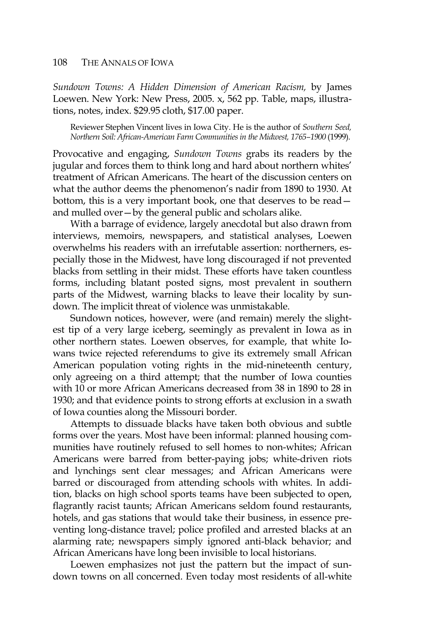*Sundown Towns: A Hidden Dimension of American Racism,* by James Loewen. New York: New Press, 2005. x, 562 pp. Table, maps, illustrations, notes, index. \$29.95 cloth, \$17.00 paper.

Reviewer Stephen Vincent lives in Iowa City. He is the author of *Southern Seed, Northern Soil: African-American Farm Communities in the Midwest, 1765–1900* (1999).

Provocative and engaging, *Sundown Towns* grabs its readers by the jugular and forces them to think long and hard about northern whites' treatment of African Americans. The heart of the discussion centers on what the author deems the phenomenon's nadir from 1890 to 1930. At bottom, this is a very important book, one that deserves to be read and mulled over—by the general public and scholars alike.

 With a barrage of evidence, largely anecdotal but also drawn from interviews, memoirs, newspapers, and statistical analyses, Loewen overwhelms his readers with an irrefutable assertion: northerners, especially those in the Midwest, have long discouraged if not prevented blacks from settling in their midst. These efforts have taken countless forms, including blatant posted signs, most prevalent in southern parts of the Midwest, warning blacks to leave their locality by sundown. The implicit threat of violence was unmistakable.

 Sundown notices, however, were (and remain) merely the slightest tip of a very large iceberg, seemingly as prevalent in Iowa as in other northern states. Loewen observes, for example, that white Iowans twice rejected referendums to give its extremely small African American population voting rights in the mid-nineteenth century, only agreeing on a third attempt; that the number of Iowa counties with 10 or more African Americans decreased from 38 in 1890 to 28 in 1930; and that evidence points to strong efforts at exclusion in a swath of Iowa counties along the Missouri border.

 Attempts to dissuade blacks have taken both obvious and subtle forms over the years. Most have been informal: planned housing communities have routinely refused to sell homes to non-whites; African Americans were barred from better-paying jobs; white-driven riots and lynchings sent clear messages; and African Americans were barred or discouraged from attending schools with whites. In addition, blacks on high school sports teams have been subjected to open, flagrantly racist taunts; African Americans seldom found restaurants, hotels, and gas stations that would take their business, in essence preventing long-distance travel; police profiled and arrested blacks at an alarming rate; newspapers simply ignored anti-black behavior; and African Americans have long been invisible to local historians.

 Loewen emphasizes not just the pattern but the impact of sundown towns on all concerned. Even today most residents of all-white